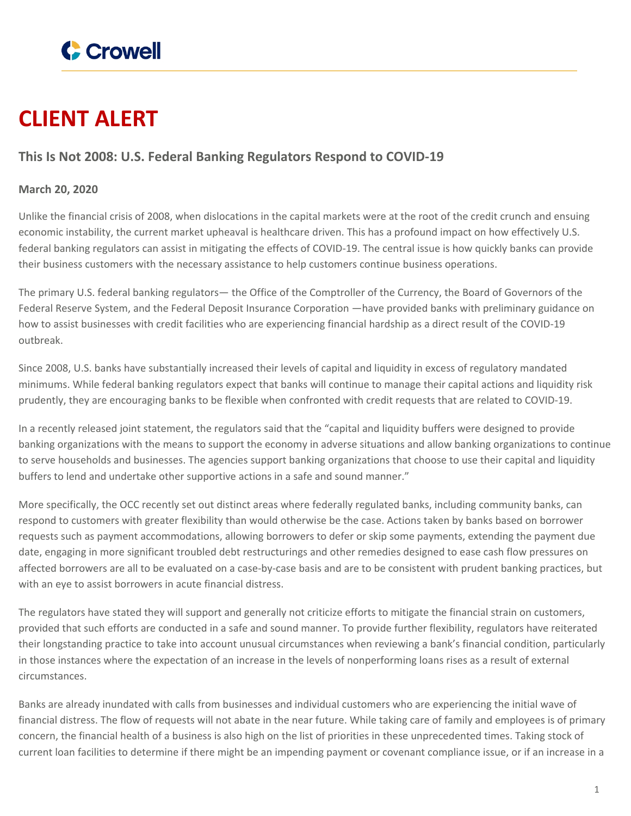

## **CLIENT ALERT**

## **This Is Not 2008: U.S. Federal Banking Regulators Respond to COVID-19**

## **March 20, 2020**

Unlike the financial crisis of 2008, when dislocations in the capital markets were at the root of the credit crunch and ensuing economic instability, the current market upheaval is healthcare driven. This has a profound impact on how effectively U.S. federal banking regulators can assist in mitigating the effects of COVID-19. The central issue is how quickly banks can provide their business customers with the necessary assistance to help customers continue business operations.

The primary U.S. federal banking regulators— the Office of the Comptroller of the Currency, the Board of Governors of the Federal Reserve System, and the Federal Deposit Insurance Corporation —have provided banks with preliminary guidance on how to assist businesses with credit facilities who are experiencing financial hardship as a direct result of the COVID-19 outbreak.

Since 2008, U.S. banks have substantially increased their levels of capital and liquidity in excess of regulatory mandated minimums. While federal banking regulators expect that banks will continue to manage their capital actions and liquidity risk prudently, they are encouraging banks to be flexible when confronted with credit requests that are related to COVID-19.

In a recently released joint statement, the regulators said that the "capital and liquidity buffers were designed to provide banking organizations with the means to support the economy in adverse situations and allow banking organizations to continue to serve households and businesses. The agencies support banking organizations that choose to use their capital and liquidity buffers to lend and undertake other supportive actions in a safe and sound manner."

More specifically, the OCC recently set out distinct areas where federally regulated banks, including community banks, can respond to customers with greater flexibility than would otherwise be the case. Actions taken by banks based on borrower requests such as payment accommodations, allowing borrowers to defer or skip some payments, extending the payment due date, engaging in more significant troubled debt restructurings and other remedies designed to ease cash flow pressures on affected borrowers are all to be evaluated on a case-by-case basis and are to be consistent with prudent banking practices, but with an eye to assist borrowers in acute financial distress.

The regulators have stated they will support and generally not criticize efforts to mitigate the financial strain on customers, provided that such efforts are conducted in a safe and sound manner. To provide further flexibility, regulators have reiterated their longstanding practice to take into account unusual circumstances when reviewing a bank's financial condition, particularly in those instances where the expectation of an increase in the levels of nonperforming loans rises as a result of external circumstances.

Banks are already inundated with calls from businesses and individual customers who are experiencing the initial wave of financial distress. The flow of requests will not abate in the near future. While taking care of family and employees is of primary concern, the financial health of a business is also high on the list of priorities in these unprecedented times. Taking stock of current loan facilities to determine if there might be an impending payment or covenant compliance issue, or if an increase in a